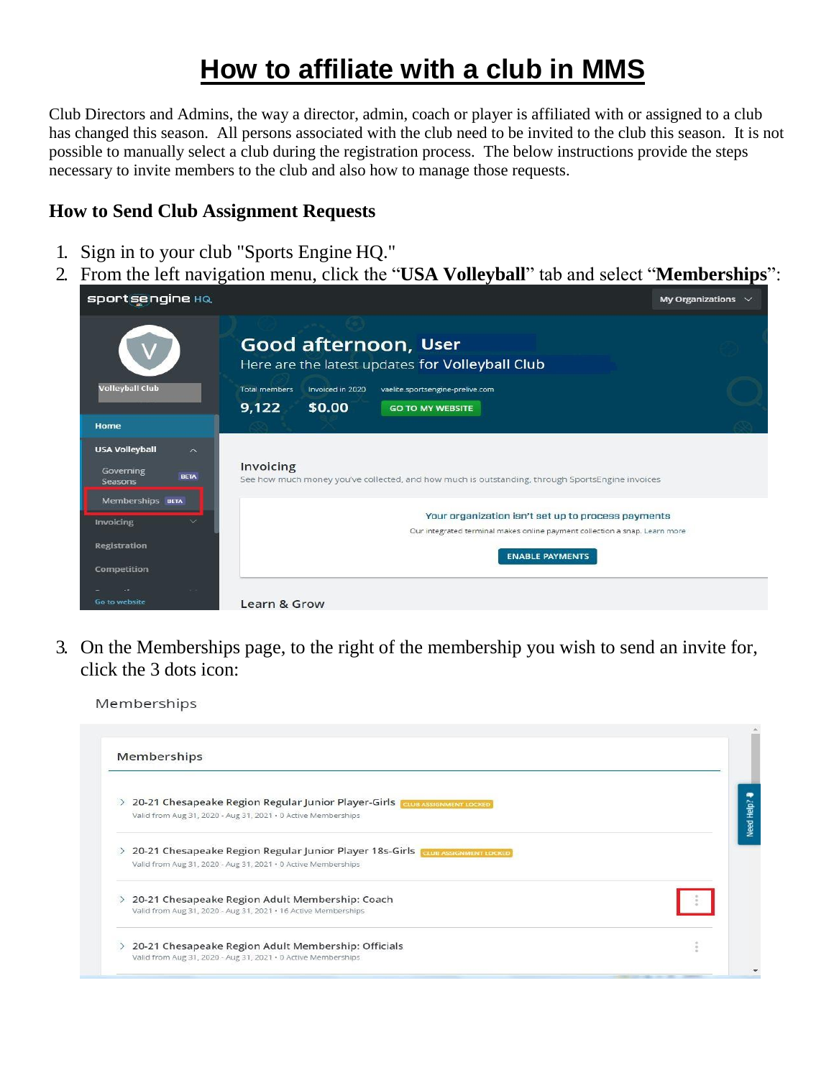# **How to affiliate with a club in MMS**

Club Directors and Admins, the way a director, admin, coach or player is affiliated with or assigned to a club has changed this season. All persons associated with the club need to be invited to the club this season. It is not possible to manually select a club during the registration process. The below instructions provide the steps necessary to invite members to the club and also how to manage those requests.

# **How to Send Club Assignment Requests**

- 1. Sign in to your club "Sports Engine HQ."
- 2. From the left navigation menu, click the "**USA Volleyball**" tab and select "**Memberships**":

| <b>sportsengine</b> HQ                                                              |                      |                  |                                                                                                                                  | My Organizations $\sim$ |
|-------------------------------------------------------------------------------------|----------------------|------------------|----------------------------------------------------------------------------------------------------------------------------------|-------------------------|
|                                                                                     |                      |                  | Good afternoon, User<br>Here are the latest updates for Volleyball Club                                                          |                         |
| <b>Volleyball Club</b>                                                              | <b>Total members</b> | Invoiced in 2020 | vaelite.sportsengine-prelive.com                                                                                                 |                         |
|                                                                                     | 9,122                | \$0.00           | <b>GO TO MY WEBSITE</b>                                                                                                          |                         |
| Home                                                                                |                      |                  |                                                                                                                                  |                         |
| <b>USA Volleyball</b><br>$\overline{\wedge}$<br>Governing<br><b>BETA</b><br>Seasons | Invoicing            |                  | See how much money you've collected, and how much is outstanding, through SportsEngine invoices                                  |                         |
| Memberships BETA<br>Invoicing                                                       |                      |                  | Your organization isn't set up to process payments<br>Our integrated terminal makes online payment collection a snap. Learn more |                         |
| <b>Registration</b><br>Competition                                                  |                      |                  | <b>ENABLE PAYMENTS</b>                                                                                                           |                         |
| Go to website                                                                       | Learn & Grow         |                  |                                                                                                                                  |                         |

3. On the Memberships page, to the right of the membership you wish to send an invite for, click the 3 dots icon:

| 20-21 Chesapeake Region Regular Junior Player-Girls CLUB ASSIGNMENT LOCKED     |                      |
|--------------------------------------------------------------------------------|----------------------|
| Valid from Aug 31, 2020 - Aug 31, 2021 · 0 Active Memberships                  |                      |
| 20-21 Chesapeake Region Regular Junior Player 18s-Girls Crua Assignment LOCKED |                      |
| Valid from Aug 31, 2020 - Aug 31, 2021 · 0 Active Memberships                  |                      |
| 20-21 Chesapeake Region Adult Membership: Coach<br>$\geq$                      |                      |
| Valid from Aug 31, 2020 - Aug 31, 2021 · 16 Active Memberships                 |                      |
| 20-21 Chesapeake Region Adult Membership: Officials                            | $\sigma$<br>$\alpha$ |
| Valid from Aug 31, 2020 - Aug 31, 2021 · 0 Active Memberships                  |                      |

Memberships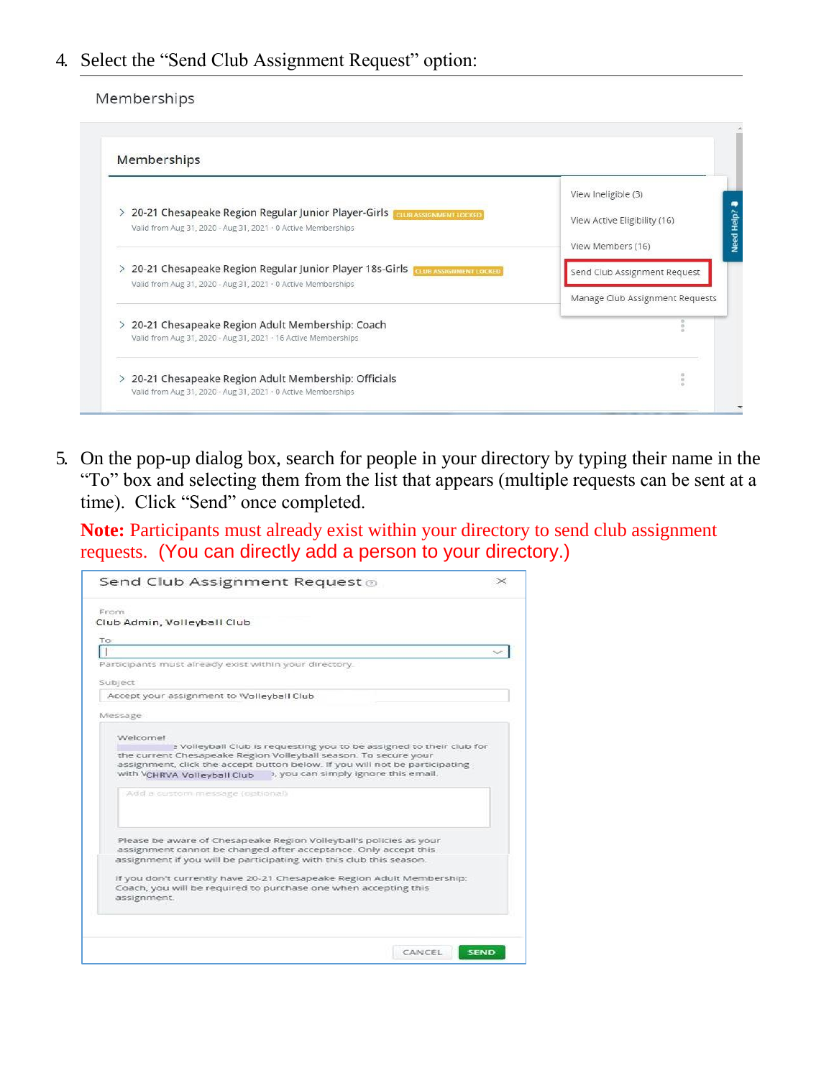# 4. Select the "Send Club Assignment Request" option:

#### Memberships

| $\rightarrow$ | 20-21 Chesapeake Region Regular Junior Player-Girls CLUB ASSIGNMENT LOCKED<br>Valid from Aug 31, 2020 - Aug 31, 2021 · 0 Active Memberships | View Ineligible (3)<br>View Active Eligibility (16) |
|---------------|---------------------------------------------------------------------------------------------------------------------------------------------|-----------------------------------------------------|
|               | 20-21 Chesapeake Region Regular Junior Player 18s-Girls CLUB ASSIGNMENT LOCKED                                                              | View Members (16)<br>Send Club Assignment Request   |
|               | Valid from Aug 31, 2020 - Aug 31, 2021 · 0 Active Memberships                                                                               | Manage Club Assignment Requests                     |
|               | 20-21 Chesapeake Region Adult Membership: Coach<br>Valid from Aug 31, 2020 - Aug 31, 2021 · 16 Active Memberships                           |                                                     |

5. On the pop-up dialog box, search for people in your directory by typing their name in the "To" box and selecting them from the list that appears (multiple requests can be sent at a time). Click "Send" once completed.

**Note:** Participants must already exist within your directory to send club assignment requests. (You can directly add a person to your directory.)

| Send Club Assignment Request $_{\odot}$                                                                                                                                                                                                                                                                   |             |
|-----------------------------------------------------------------------------------------------------------------------------------------------------------------------------------------------------------------------------------------------------------------------------------------------------------|-------------|
| From                                                                                                                                                                                                                                                                                                      |             |
| Club Admin, Volleyball Club                                                                                                                                                                                                                                                                               |             |
| To                                                                                                                                                                                                                                                                                                        |             |
|                                                                                                                                                                                                                                                                                                           |             |
| Participants must already exist within your directory.                                                                                                                                                                                                                                                    |             |
| Subject                                                                                                                                                                                                                                                                                                   |             |
| Accept your assignment to Wolleyball Club                                                                                                                                                                                                                                                                 |             |
| Message                                                                                                                                                                                                                                                                                                   |             |
| Welcomet<br>e Volleyball Club is requesting you to be assigned to their club for<br>the current Chesapeake Region Volleyball season. To secure your<br>assignment, click the accept button below. If you will not be participating<br>», you can simply ignore this email.<br>with VCHRVA Volleyball Club |             |
| Add a custom message (optional)                                                                                                                                                                                                                                                                           |             |
| Please be aware of Chesapeake Region Volleyball's policies as your<br>assignment cannot be changed after acceptance. Only accept this                                                                                                                                                                     |             |
| assignment if you will be participating with this club this season.                                                                                                                                                                                                                                       |             |
| If you don't currently have 20-21 Chesapeake Region Adult Membership:<br>Coach, you will be required to purchase one when accepting this<br>assignment.                                                                                                                                                   |             |
|                                                                                                                                                                                                                                                                                                           |             |
| CANCEL                                                                                                                                                                                                                                                                                                    | <b>SEND</b> |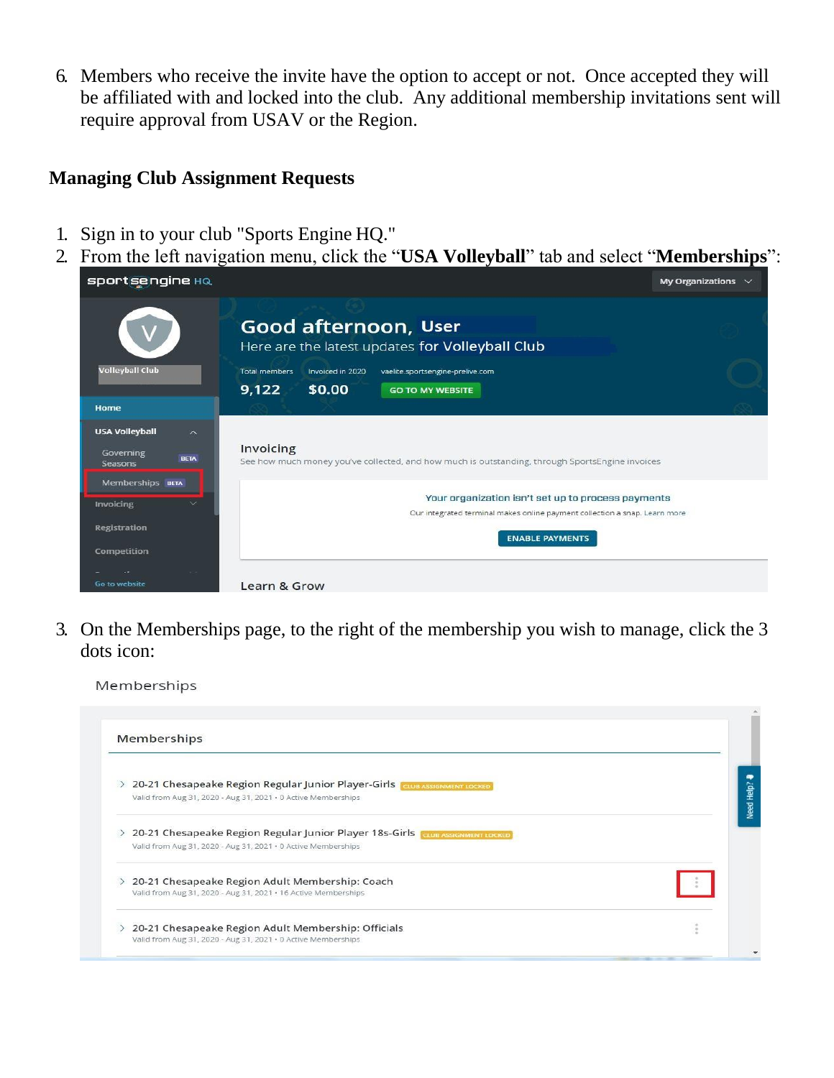6. Members who receive the invite have the option to accept or not. Once accepted they will be affiliated with and locked into the club. Any additional membership invitations sent will require approval from USAV or the Region.

# **Managing Club Assignment Requests**

- 1. Sign in to your club "Sports Engine HQ."
- 2. From the left navigation menu, click the "**USA Volleyball**" tab and select "**Memberships**":

| <b>sportsengine HQ</b>                                                                  |                                                                                                                                  | My Organizations $\sim$ |
|-----------------------------------------------------------------------------------------|----------------------------------------------------------------------------------------------------------------------------------|-------------------------|
|                                                                                         | Good afternoon, User<br>Here are the latest updates for Volleyball Club                                                          |                         |
| <b>Volleyball Club</b>                                                                  | Invoiced in 2020<br>vaelite.sportsengine-prelive.com<br><b>Total members</b><br>9,122<br>\$0.00<br><b>GO TO MY WEBSITE</b>       |                         |
| Home                                                                                    |                                                                                                                                  |                         |
| <b>USA Volleyball</b><br>$\widehat{\phantom{1}}$<br>Governing<br><b>BETA</b><br>Seasons | Invoicing<br>See how much money you've collected, and how much is outstanding, through SportsEngine invoices                     |                         |
| Memberships BETA<br>Invoicing                                                           | Your organization isn't set up to process payments<br>Our integrated terminal makes online payment collection a snap. Learn more |                         |
| <b>Registration</b><br><b>Competition</b>                                               | <b>ENABLE PAYMENTS</b>                                                                                                           |                         |
| Go to website                                                                           | Learn & Grow                                                                                                                     |                         |

3. On the Memberships page, to the right of the membership you wish to manage, click the 3 dots icon:

Memberships

| $\geq$ | 20-21 Chesapeake Region Regular Junior Player-Girls CLUB ASSIGNMENT LOCKED      |                  |
|--------|---------------------------------------------------------------------------------|------------------|
|        | Valid from Aug 31, 2020 - Aug 31, 2021 · 0 Active Memberships                   |                  |
| >      | 20-21 Chesapeake Region Regular Junior Player 18s-Girls TOLIB ASSIGNMENT LOCKED |                  |
|        | Valid from Aug 31, 2020 - Aug 31, 2021 · 0 Active Memberships                   |                  |
|        | 20-21 Chesapeake Region Adult Membership: Coach                                 |                  |
|        | Valid from Aug 31, 2020 - Aug 31, 2021 · 16 Active Memberships                  |                  |
|        | 20-21 Chesapeake Region Adult Membership: Officials                             | $\sim$<br>$\sim$ |
|        |                                                                                 |                  |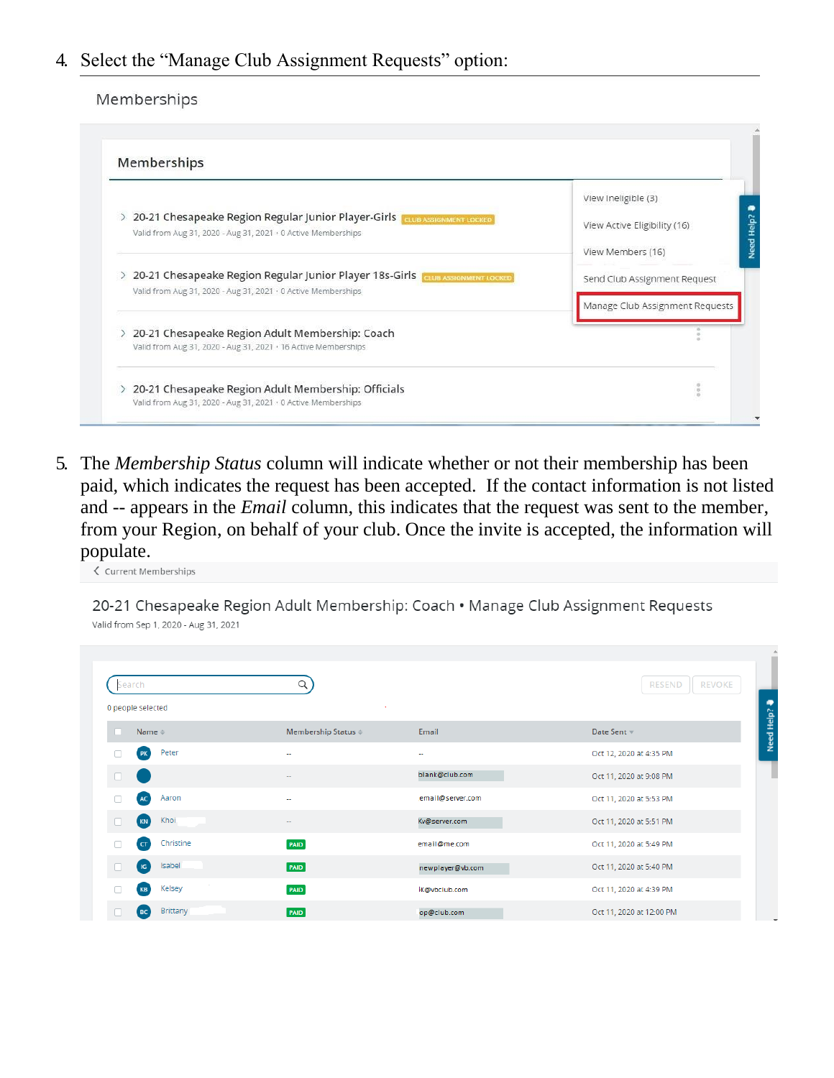### 4. Select the "Manage Club Assignment Requests" option:

#### Memberships

|                                                               |                                                                                 | View Ineligible (3)             |
|---------------------------------------------------------------|---------------------------------------------------------------------------------|---------------------------------|
| $\geq$                                                        | 20-21 Chesapeake Region Regular Junior Player-Girls   GLUB ASSIGNMENT LOCKED    |                                 |
|                                                               | Valid from Aug 31, 2020 - Aug 31, 2021 · 0 Active Memberships                   | View Active Eligibility (16)    |
|                                                               |                                                                                 | View Members (16)               |
| Valid from Aug 31, 2020 - Aug 31, 2021 · 0 Active Memberships | 20-21 Chesapeake Region Regular Junior Player 18s-Girls Traus ASSIGNMENT LOCKED | Send Club Assignment Request    |
|                                                               |                                                                                 | Manage Club Assignment Requests |
|                                                               | 20-21 Chesapeake Region Adult Membership: Coach                                 |                                 |
|                                                               | Valid from Aug 31, 2020 - Aug 31, 2021 · 16 Active Memberships                  |                                 |

5. The *Membership Status* column will indicate whether or not their membership has been paid, which indicates the request has been accepted. If the contact information is not listed and -- appears in the *Email* column, this indicates that the request was sent to the member, from your Region, on behalf of your club. Once the invite is accepted, the information will populate.

 $\zeta$  Current Memberships

20-21 Chesapeake Region Adult Membership: Coach • Manage Club Assignment Requests Valid from Sep 1, 2020 - Aug 31, 2021

| Search<br>0 people selected           |                               |                  | <b>REVOKE</b><br><b>RESEND</b> |
|---------------------------------------|-------------------------------|------------------|--------------------------------|
| Name $\triangleq$                     | Membership Status $\doteqdot$ | Email            | Date Sent                      |
| Peter<br><b>PK</b><br>n               | $\sim$                        | $\sim$           | Oct 12, 2020 at 4:35 PM        |
| u                                     | $\overline{\phantom{a}}$      | blank@club.com   | Oct 11, 2020 at 9:08 PM        |
| Aaron<br>AC<br>n                      | $\sim$                        | email@server.com | Oct 11, 2020 at 5:53 PM        |
| Khoi<br>KN                            | $\sim$                        | Kv@server.com    | Oct 11, 2020 at 5:51 PM        |
| Christine<br>$\Box$<br>$\overline{a}$ | PAID                          | email@me.com     | Oct 11, 2020 at 5:49 PM        |
| Isabel<br>$\sqrt{16}$<br>n            | PAD                           | newplayer@vb.com | Oct 11, 2020 at 5:40 PM        |
|                                       |                               |                  | Oct 11, 2020 at 4:39 PM        |